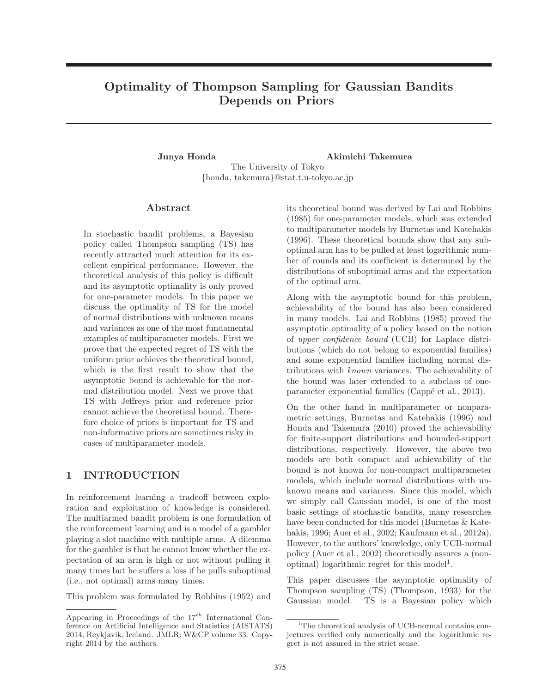# Optimality of Thompson Sampling for Gaussian Bandits Depends on Priors

Junya Honda Akimichi Takemura The University of Tokyo {honda, takemura}@stat.t.u-tokyo.ac.jp

#### Abstract

In stochastic bandit problems, a Bayesian policy called Thompson sampling (TS) has recently attracted much attention for its excellent empirical performance. However, the theoretical analysis of this policy is difficult and its asymptotic optimality is only proved for one-parameter models. In this paper we discuss the optimality of TS for the model of normal distributions with unknown means and variances as one of the most fundamental examples of multiparameter models. First we prove that the expected regret of TS with the uniform prior achieves the theoretical bound, which is the first result to show that the asymptotic bound is achievable for the normal distribution model. Next we prove that TS with Jeffreys prior and reference prior cannot achieve the theoretical bound. Therefore choice of priors is important for TS and non-informative priors are sometimes risky in cases of multiparameter models.

## 1 INTRODUCTION

In reinforcement learning a tradeoff between exploration and exploitation of knowledge is considered. The multiarmed bandit problem is one formulation of the reinforcement learning and is a model of a gambler playing a slot machine with multiple arms. A dilemma for the gambler is that he cannot know whether the expectation of an arm is high or not without pulling it many times but he suffers a loss if he pulls suboptimal (i.e., not optimal) arms many times.

This problem was formulated by Robbins (1952) and

its theoretical bound was derived by Lai and Robbins (1985) for one-parameter models, which was extended to multiparameter models by Burnetas and Katehakis (1996). These theoretical bounds show that any suboptimal arm has to be pulled at least logarithmic number of rounds and its coefficient is determined by the distributions of suboptimal arms and the expectation of the optimal arm.

Along with the asymptotic bound for this problem, achievability of the bound has also been considered in many models. Lai and Robbins (1985) proved the asymptotic optimality of a policy based on the notion of upper confidence bound (UCB) for Laplace distributions (which do not belong to exponential families) and some exponential families including normal distributions with known variances. The achievability of the bound was later extended to a subclass of oneparameter exponential families (Cappé et al., 2013).

On the other hand in multiparameter or nonparametric settings, Burnetas and Katehakis (1996) and Honda and Takemura (2010) proved the achievability for finite-support distributions and bounded-support distributions, respectively. However, the above two models are both compact and achievability of the bound is not known for non-compact multiparameter models, which include normal distributions with unknown means and variances. Since this model, which we simply call Gaussian model, is one of the most basic settings of stochastic bandits, many researches have been conducted for this model (Burnetas & Katehakis, 1996; Auer et al., 2002; Kaufmann et al., 2012a). However, to the authors' knowledge, only UCB-normal policy (Auer et al., 2002) theoretically assures a (nonoptimal) logarithmic regret for this model<sup>1</sup>.

This paper discusses the asymptotic optimality of Thompson sampling (TS) (Thompson, 1933) for the Gaussian model. TS is a Bayesian policy which

Appearing in Proceedings of the  $17^{th}$  International Conference on Artificial Intelligence and Statistics (AISTATS) 2014, Reykjavik, Iceland. JMLR: W&CP volume 33. Copyright 2014 by the authors.

 $1$ <sup>1</sup>The theoretical analysis of UCB-normal contains conjectures verified only numerically and the logarithmic regret is not assured in the strict sense.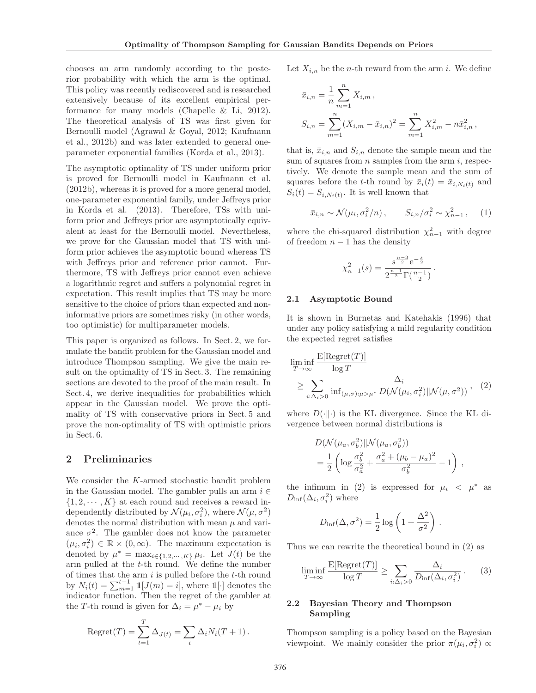chooses an arm randomly according to the posterior probability with which the arm is the optimal. This policy was recently rediscovered and is researched extensively because of its excellent empirical performance for many models (Chapelle & Li, 2012). The theoretical analysis of TS was first given for Bernoulli model (Agrawal & Goyal, 2012; Kaufmann et al., 2012b) and was later extended to general oneparameter exponential families (Korda et al., 2013).

The asymptotic optimality of TS under uniform prior is proved for Bernoulli model in Kaufmann et al. (2012b), whereas it is proved for a more general model, one-parameter exponential family, under Jeffreys prior in Korda et al. (2013). Therefore, TSs with uniform prior and Jeffreys prior are asymptotically equivalent at least for the Bernoulli model. Nevertheless, we prove for the Gaussian model that TS with uniform prior achieves the asymptotic bound whereas TS with Jeffreys prior and reference prior cannot. Furthermore, TS with Jeffreys prior cannot even achieve a logarithmic regret and suffers a polynomial regret in expectation. This result implies that TS may be more sensitive to the choice of priors than expected and noninformative priors are sometimes risky (in other words, too optimistic) for multiparameter models.

This paper is organized as follows. In Sect. 2, we formulate the bandit problem for the Gaussian model and introduce Thompson sampling. We give the main result on the optimality of TS in Sect. 3. The remaining sections are devoted to the proof of the main result. In Sect. 4, we derive inequalities for probabilities which appear in the Gaussian model. We prove the optimality of TS with conservative priors in Sect. 5 and prove the non-optimality of TS with optimistic priors in Sect. 6.

#### 2 Preliminaries

We consider the K-armed stochastic bandit problem in the Gaussian model. The gambler pulls an arm  $i \in$  $\{1, 2, \dots, K\}$  at each round and receives a reward independently distributed by  $\mathcal{N}(\mu_i, \sigma_i^2)$ , where  $\mathcal{N}(\mu, \sigma^2)$ denotes the normal distribution with mean  $\mu$  and variance  $\sigma^2$ . The gambler does not know the parameter  $(\mu_i, \sigma_i^2) \in \mathbb{R} \times (0, \infty)$ . The maximum expectation is denoted by  $\mu^* = \max_{i \in \{1, 2, \cdots, K\}} \mu_i$ . Let  $J(t)$  be the arm pulled at the t-th round. We define the number of times that the arm  $i$  is pulled before the  $t$ -th round by  $N_i(t) = \sum_{m=1}^{t-1} 1 \mathbb{I}[J(m) = i]$ , where  $1[\cdot]$  denotes the indicator function. Then the regret of the gambler at the T-th round is given for  $\Delta_i = \mu^* - \mu_i$  by

Regret
$$
(T)
$$
 =  $\sum_{t=1}^{T} \Delta_{J(t)} = \sum_{i} \Delta_i N_i (T + 1)$ .

Let  $X_{i,n}$  be the *n*-th reward from the arm *i*. We define

$$
\bar{x}_{i,n} = \frac{1}{n} \sum_{m=1}^{n} X_{i,m},
$$
  
\n
$$
S_{i,n} = \sum_{m=1}^{n} (X_{i,m} - \bar{x}_{i,n})^2 = \sum_{m=1}^{n} X_{i,m}^2 - n\bar{x}_{i,n}^2,
$$

that is,  $\bar{x}_{i,n}$  and  $S_{i,n}$  denote the sample mean and the sum of squares from  $n$  samples from the arm  $i$ , respectively. We denote the sample mean and the sum of squares before the t-th round by  $\bar{x}_i(t) = \bar{x}_{i,N_i(t)}$  and  $S_i(t) = S_{i,N_i(t)}$ . It is well known that

$$
\bar{x}_{i,n} \sim \mathcal{N}(\mu_i, \sigma_i^2/n), \qquad S_{i,n}/\sigma_i^2 \sim \chi_{n-1}^2, \qquad (1)
$$

where the chi-squared distribution  $\chi^2_{n-1}$  with degree of freedom  $n - 1$  has the density

$$
\chi_{n-1}^2(s) = \frac{s^{\frac{n-3}{2}} e^{-\frac{s}{2}}}{2^{\frac{n-1}{2}} \Gamma(\frac{n-1}{2})}.
$$

#### 2.1 Asymptotic Bound

It is shown in Burnetas and Katehakis (1996) that under any policy satisfying a mild regularity condition the expected regret satisfies

$$
\liminf_{T \to \infty} \frac{\mathbb{E}[\text{Regret}(T)]}{\log T} \ge \sum_{i:\Delta_i > 0} \frac{\Delta_i}{\inf_{(\mu,\sigma): \mu > \mu^*} D(\mathcal{N}(\mu_i, \sigma_i^2) \| \mathcal{N}(\mu, \sigma^2))}, \quad (2)
$$

where  $D(\cdot\|\cdot)$  is the KL divergence. Since the KL divergence between normal distributions is

$$
D(\mathcal{N}(\mu_a, \sigma_b^2) || \mathcal{N}(\mu_a, \sigma_b^2))
$$
  
=  $\frac{1}{2} \left( \log \frac{\sigma_b^2}{\sigma_a^2} + \frac{\sigma_a^2 + (\mu_b - \mu_a)^2}{\sigma_b^2} - 1 \right)$ ,

the infimum in (2) is expressed for  $\mu_i < \mu^*$  as  $D_{\inf}(\Delta_i, \sigma_i^2)$  where

$$
D_{\inf}(\Delta, \sigma^2) = \frac{1}{2} \log \left( 1 + \frac{\Delta^2}{\sigma^2} \right).
$$

Thus we can rewrite the theoretical bound in (2) as

$$
\liminf_{T \to \infty} \frac{\mathcal{E}[\text{Regret}(T)]}{\log T} \ge \sum_{i:\Delta_i > 0} \frac{\Delta_i}{D_{\text{inf}}(\Delta_i, \sigma_i^2)} \,. \tag{3}
$$

#### 2.2 Bayesian Theory and Thompson Sampling

Thompson sampling is a policy based on the Bayesian viewpoint. We mainly consider the prior  $\pi(\mu_i, \sigma_i^2) \propto$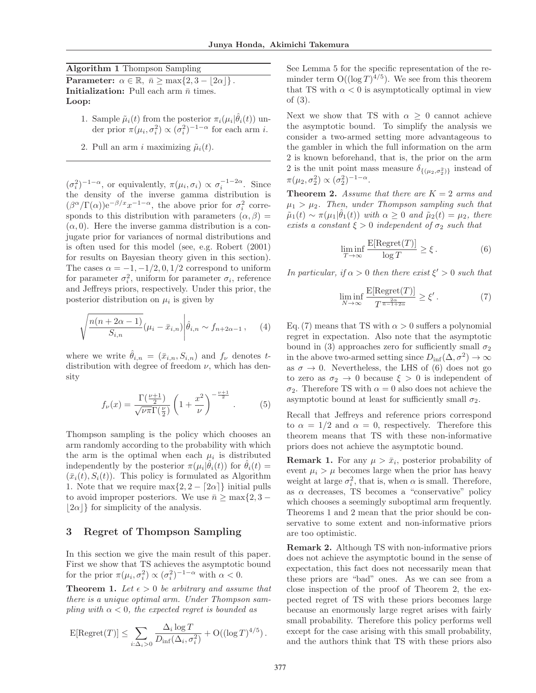Algorithm 1 Thompson Sampling

**Parameter:**  $\alpha \in \mathbb{R}, \bar{n} \ge \max\{2, 3 - |2\alpha|\}.$ **Initialization:** Pull each arm  $\bar{n}$  times. Loop:

- 1. Sample  $\tilde{\mu}_i(t)$  from the posterior  $\pi_i(\mu_i|\hat{\theta}_i(t))$  under prior  $\pi(\mu_i, \sigma_i^2) \propto (\sigma_i^2)^{-1-\alpha}$  for each arm *i*.
- 2. Pull an arm i maximizing  $\tilde{\mu}_i(t)$ .

 $(\sigma_i^2)^{-1-\alpha}$ , or equivalently,  $\pi(\mu_i, \sigma_i) \propto \sigma_i^{-1-2\alpha}$ . Since the density of the inverse gamma distribution is  $(\beta^{\alpha}/\Gamma(\alpha))e^{-\beta/x}x^{-1-\alpha}$ , the above prior for  $\sigma_i^2$  corresponds to this distribution with parameters  $(\alpha, \beta)$  =  $(\alpha, 0)$ . Here the inverse gamma distribution is a conjugate prior for variances of normal distributions and is often used for this model (see, e.g. Robert (2001) for results on Bayesian theory given in this section). The cases  $\alpha = -1, -1/2, 0, 1/2$  correspond to uniform for parameter  $\sigma_i^2$ , uniform for parameter  $\sigma_i$ , reference and Jeffreys priors, respectively. Under this prior, the posterior distribution on  $\mu_i$  is given by

$$
\sqrt{\frac{n(n+2\alpha-1)}{S_{i,n}}}(\mu_i - \bar{x}_{i,n})\bigg|\hat{\theta}_{i,n} \sim f_{n+2\alpha-1},\qquad(4)
$$

where we write  $\hat{\theta}_{i,n} = (\bar{x}_{i,n}, S_{i,n})$  and  $f_{\nu}$  denotes tdistribution with degree of freedom  $\nu$ , which has density

$$
f_{\nu}(x) = \frac{\Gamma(\frac{\nu+1}{2})}{\sqrt{\nu \pi} \Gamma(\frac{\nu}{2})} \left(1 + \frac{x^2}{\nu}\right)^{-\frac{\nu+1}{2}}.\tag{5}
$$

Thompson sampling is the policy which chooses an arm randomly according to the probability with which the arm is the optimal when each  $\mu_i$  is distributed independently by the posterior  $\pi(\mu_i|\hat{\theta}_i(t))$  for  $\hat{\theta}_i(t)$  =  $(\bar{x}_i(t), S_i(t))$ . This policy is formulated as Algorithm 1. Note that we require max $\{2, 2 - \lceil 2\alpha \rceil\}$  initial pulls to avoid improper posteriors. We use  $\bar{n} \ge \max\{2, 3 - \}$  $|2\alpha\rangle$  for simplicity of the analysis.

#### 3 Regret of Thompson Sampling

In this section we give the main result of this paper. First we show that TS achieves the asymptotic bound for the prior  $\pi(\mu_i, \sigma_i^2) \propto (\sigma_i^2)^{-1-\alpha}$  with  $\alpha < 0$ .

**Theorem 1.** Let  $\epsilon > 0$  be arbitrary and assume that there is a unique optimal arm. Under Thompson sampling with  $\alpha < 0$ , the expected regret is bounded as

$$
\mathrm{E}[\mathrm{Regret}(T)] \leq \sum_{i:\Delta_i>0} \frac{\Delta_i \log T}{D_{\mathrm{inf}}(\Delta_i, \sigma_i^2)} + \mathrm{O}((\log T)^{4/5}).
$$

See Lemma 5 for the specific representation of the reminder term  $O((\log T)^{4/5})$ . We see from this theorem that TS with  $\alpha < 0$  is asymptotically optimal in view of (3).

Next we show that TS with  $\alpha \geq 0$  cannot achieve the asymptotic bound. To simplify the analysis we consider a two-armed setting more advantageous to the gambler in which the full information on the arm 2 is known beforehand, that is, the prior on the arm 2 is the unit point mass measure  $\delta_{\{(\mu_2,\sigma_2^2)\}}$  instead of  $\pi(\mu_2, \sigma_2^2) \propto (\sigma_2^2)^{-1-\alpha}.$ 

**Theorem 2.** Assume that there are  $K = 2$  arms and  $\mu_1 > \mu_2$ . Then, under Thompson sampling such that  $\tilde{\mu}_1(t) \sim \pi(\mu_1|\hat{\theta}_1(t))$  with  $\alpha \geq 0$  and  $\tilde{\mu}_2(t) = \mu_2$ , there exists a constant  $\xi > 0$  independent of  $\sigma_2$  such that

$$
\liminf_{T \to \infty} \frac{\mathcal{E}[\text{Regret}(T)]}{\log T} \ge \xi. \tag{6}
$$

In particular, if  $\alpha > 0$  then there exist  $\xi' > 0$  such that

$$
\liminf_{N \to \infty} \frac{\mathcal{E}[\text{Regret}(T)]}{T^{\frac{2\alpha}{n-1+2\alpha}}} \ge \xi' \,. \tag{7}
$$

Eq. (7) means that TS with  $\alpha > 0$  suffers a polynomial regret in expectation. Also note that the asymptotic bound in (3) approaches zero for sufficiently small  $\sigma_2$ in the above two-armed setting since  $D_{\inf}(\Delta, \sigma^2) \to \infty$ as  $\sigma \to 0$ . Nevertheless, the LHS of (6) does not go to zero as  $\sigma_2 \to 0$  because  $\xi > 0$  is independent of σ2. Therefore TS with α = 0 also does not achieve the asymptotic bound at least for sufficiently small  $\sigma_2$ .

Recall that Jeffreys and reference priors correspond to  $\alpha = 1/2$  and  $\alpha = 0$ , respectively. Therefore this theorem means that TS with these non-informative priors does not achieve the asymptotic bound.

**Remark 1.** For any  $\mu > \bar{x}_i$ , posterior probability of event  $\mu_i > \mu$  becomes large when the prior has heavy weight at large  $\sigma_i^2$ , that is, when  $\alpha$  is small. Therefore, as  $\alpha$  decreases, TS becomes a "conservative" policy which chooses a seemingly suboptimal arm frequently. Theorems 1 and 2 mean that the prior should be conservative to some extent and non-informative priors are too optimistic.

Remark 2. Although TS with non-informative priors does not achieve the asymptotic bound in the sense of expectation, this fact does not necessarily mean that these priors are "bad" ones. As we can see from a close inspection of the proof of Theorem 2, the expected regret of TS with these priors becomes large because an enormously large regret arises with fairly small probability. Therefore this policy performs well except for the case arising with this small probability, and the authors think that TS with these priors also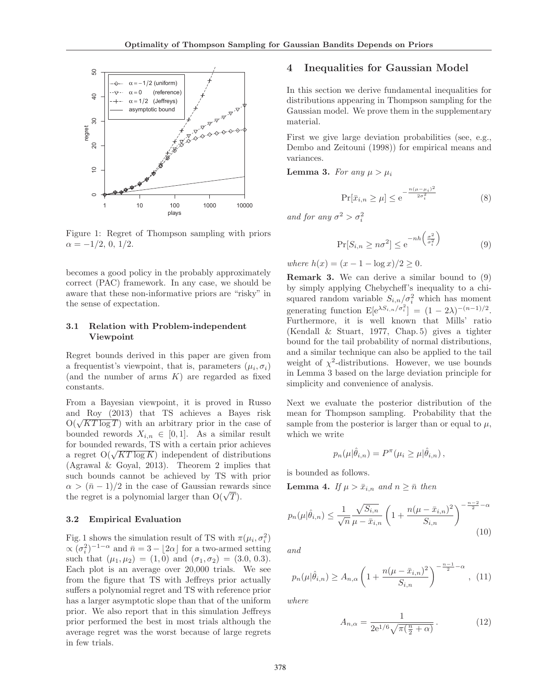

Figure 1: Regret of Thompson sampling with priors  $\alpha = -1/2, 0, 1/2.$ 

becomes a good policy in the probably approximately correct (PAC) framework. In any case, we should be aware that these non-informative priors are "risky" in the sense of expectation.

#### 3.1 Relation with Problem-independent Viewpoint

Regret bounds derived in this paper are given from a frequentist's viewpoint, that is, parameters  $(\mu_i, \sigma_i)$ (and the number of arms  $K$ ) are regarded as fixed constants.

From a Bayesian viewpoint, it is proved in Russo and Roy (2013) that TS achieves a Bayes risk  $\overline{O(\sqrt{KT \log T})}$  with an arbitrary prior in the case of bounded rewords  $X_{i,n} \in [0,1]$ . As a similar result for bounded rewards, TS with a certain prior achieves a regret  $O(\sqrt{KT \log K})$  independent of distributions (Agrawal & Goyal, 2013). Theorem 2 implies that such bounds cannot be achieved by TS with prior  $\alpha > (\bar{n} - 1)/2$  in the case of Gaussian rewards since the regret is a polynomial larger than  $O(\sqrt{T})$ .

#### 3.2 Empirical Evaluation

Fig. 1 shows the simulation result of TS with  $\pi(\mu_i, \sigma_i^2)$  $\propto (\sigma_i^2)^{-1-\alpha}$  and  $\bar{n} = 3 - \lfloor 2\alpha \rfloor$  for a two-armed setting such that  $(\mu_1, \mu_2) = (1, 0)$  and  $(\sigma_1, \sigma_2) = (3.0, 0.3)$ . Each plot is an average over 20,000 trials. We see from the figure that TS with Jeffreys prior actually suffers a polynomial regret and TS with reference prior has a larger asymptotic slope than that of the uniform prior. We also report that in this simulation Jeffreys prior performed the best in most trials although the average regret was the worst because of large regrets in few trials.

### 4 Inequalities for Gaussian Model

In this section we derive fundamental inequalities for distributions appearing in Thompson sampling for the Gaussian model. We prove them in the supplementary material.

First we give large deviation probabilities (see, e.g., Dembo and Zeitouni (1998)) for empirical means and variances.

**Lemma 3.** For any  $\mu > \mu_i$ 

$$
\Pr[\bar{x}_{i,n} \ge \mu] \le e^{-\frac{n(\mu - \mu_i)^2}{2\sigma_i^2}} \tag{8}
$$

and for any  $\sigma^2 > \sigma_i^2$ 

$$
\Pr[S_{i,n} \ge n\sigma^2] \le e^{-nh\left(\frac{\sigma^2}{\sigma_i^2}\right)}\tag{9}
$$

where  $h(x) = (x - 1 - \log x)/2 > 0$ .

Remark 3. We can derive a similar bound to (9) by simply applying Chebycheff's inequality to a chisquared random variable  $S_{i,n}/\sigma_i^2$  which has moment generating function  $E[e^{\lambda S_{i,n}/\sigma_i^2}] = (1 - 2\lambda)^{-(n-1)/2}$ . Furthermore, it is well known that Mills' ratio (Kendall & Stuart, 1977, Chap. 5) gives a tighter bound for the tail probability of normal distributions, and a similar technique can also be applied to the tail weight of  $\chi^2$ -distributions. However, we use bounds in Lemma 3 based on the large deviation principle for simplicity and convenience of analysis.

Next we evaluate the posterior distribution of the mean for Thompson sampling. Probability that the sample from the posterior is larger than or equal to  $\mu$ , which we write

$$
p_n(\mu|\hat{\theta}_{i,n}) = P^{\pi}(\mu_i \ge \mu|\hat{\theta}_{i,n}),
$$

is bounded as follows.

**Lemma 4.** If  $\mu > \bar{x}_{i,n}$  and  $n \geq \bar{n}$  then

$$
p_n(\mu|\hat{\theta}_{i,n}) \le \frac{1}{\sqrt{n}} \frac{\sqrt{S_{i,n}}}{\mu - \bar{x}_{i,n}} \left(1 + \frac{n(\mu - \bar{x}_{i,n})^2}{S_{i,n}}\right)^{-\frac{n-2}{2} - \alpha}
$$
(10)

and

$$
p_n(\mu|\hat{\theta}_{i,n}) \ge A_{n,\alpha} \left( 1 + \frac{n(\mu - \bar{x}_{i,n})^2}{S_{i,n}} \right)^{-\frac{n-1}{2}-\alpha}, (11)
$$

where

$$
A_{n,\alpha} = \frac{1}{2e^{1/6}\sqrt{\pi(\frac{n}{2} + \alpha)}}.
$$
 (12)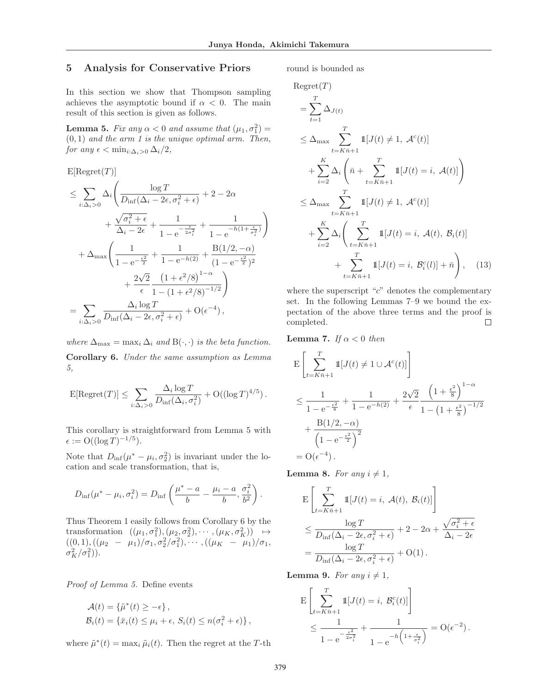## 5 Analysis for Conservative Priors

In this section we show that Thompson sampling achieves the asymptotic bound if  $\alpha < 0$ . The main result of this section is given as follows.

**Lemma 5.** Fix any  $\alpha < 0$  and assume that  $(\mu_1, \sigma_1^2) =$  $(0, 1)$  and the arm 1 is the unique optimal arm. Then, for any  $\epsilon < \min_{i:\Delta_i>0} \Delta_i/2$ ,

 $E[Regret(T)]$ 

$$
\leq \sum_{i:\Delta_i>0} \Delta_i \left( \frac{\log T}{D_{\inf}(\Delta_i - 2\epsilon, \sigma_i^2 + \epsilon)} + 2 - 2\alpha + \frac{\sqrt{\sigma_i^2 + \epsilon}}{\Delta_i - 2\epsilon} + \frac{1}{1 - e^{-\frac{\epsilon}{2\sigma_i^2}}} + \frac{1}{1 - e^{-h(1 + \frac{\epsilon}{\sigma_i^2})}} \right) + \Delta_{\max} \left( \frac{1}{1 - e^{-\frac{\epsilon^2}{2}}} + \frac{1}{1 - e^{-h(2)}} + \frac{B(1/2, -\alpha)}{(1 - e^{-\frac{\epsilon^2}{2}})^2} + \frac{2\sqrt{2}}{\epsilon} \frac{(1 + \epsilon^2/8)^{1 - \alpha}}{1 - (1 + \epsilon^2/8)^{-1/2}} \right) = \sum_{i:\Delta_i>0} \frac{\Delta_i \log T}{D_{\inf}(\Delta_i - 2\epsilon, \sigma_i^2 + \epsilon)} + O(\epsilon^{-4}),
$$

where  $\Delta_{\text{max}} = \max_i \Delta_i$  and  $B(\cdot, \cdot)$  is the beta function.

Corollary 6. Under the same assumption as Lemma 5,

$$
\mathbb{E}[\text{Regret}(T)] \leq \sum_{i:\Delta_i > 0} \frac{\Delta_i \log T}{D_{\inf}(\Delta_i, \sigma_i^2)} + \mathcal{O}((\log T)^{4/5}).
$$

This corollary is straightforward from Lemma 5 with  $\epsilon := O((\log T)^{-1/5}).$ 

Note that  $D_{\inf}(\mu^* - \mu_i, \sigma_2^2)$  is invariant under the location and scale transformation, that is,

$$
D_{\inf}(\mu^* - \mu_i, \sigma_i^2) = D_{\inf} \left( \frac{\mu^* - a}{b} - \frac{\mu_i - a}{b}, \frac{\sigma_i^2}{b^2} \right).
$$

Thus Theorem 1 easily follows from Corollary 6 by the transformation  $((\mu_1, \sigma_1^2), (\mu_2, \sigma_2^2), \cdots, (\mu_K, \sigma_K^2)) \rightarrow$  $((0,1),((\mu_2 - \mu_1)/\sigma_1, \sigma_2^2/\sigma_1^2), \cdots, ((\mu_K - \mu_1)/\sigma_1,$  $\sigma_K^2/\sigma_1^2$ )).

Proof of Lemma 5. Define events

$$
\mathcal{A}(t) = \{\tilde{\mu}^*(t) \ge -\epsilon\},
$$
  
\n
$$
\mathcal{B}_i(t) = \{\bar{x}_i(t) \le \mu_i + \epsilon, S_i(t) \le n(\sigma_i^2 + \epsilon)\},
$$

where  $\tilde{\mu}^*(t) = \max_i \tilde{\mu}_i(t)$ . Then the regret at the T-th

round is bounded as

$$
\begin{split}\n\text{Regret}(T) \\
&= \sum_{t=1}^{T} \Delta_{J(t)} \\
&\leq \Delta_{\text{max}} \sum_{t=K\bar{n}+1}^{T} \mathbb{1}[J(t) \neq 1, \ \mathcal{A}^{c}(t)] \\
&+ \sum_{i=2}^{K} \Delta_{i} \left( \bar{n} + \sum_{t=K\bar{n}+1}^{T} \mathbb{1}[J(t) = i, \ \mathcal{A}(t)] \right) \\
&\leq \Delta_{\text{max}} \sum_{t=K\bar{n}+1}^{T} \mathbb{1}[J(t) \neq 1, \ \mathcal{A}^{c}(t)] \\
&+ \sum_{i=2}^{K} \Delta_{i} \left( \sum_{t=K\bar{n}+1}^{T} \mathbb{1}[J(t) = i, \ \mathcal{A}(t), \ \mathcal{B}_{i}(t)] \\
&+ \sum_{t=K\bar{n}+1}^{T} \mathbb{1}[J(t) = i, \ \mathcal{B}_{i}^{c}(t)] + \bar{n} \right),\n\end{split} \tag{13}
$$

where the superscript " $c$ " denotes the complementary set. In the following Lemmas 7–9 we bound the expectation of the above three terms and the proof is completed.  $\Box$ 

**Lemma 7.** If  $\alpha < 0$  then

$$
\begin{split} & \mathbf{E} \left[ \sum_{t=K\bar{n}+1}^{T} \mathbb{1}[J(t)\neq 1\cup \mathcal{A}^{c}(t)] \right] \\ &\leq \frac{1}{1-\mathrm{e}^{-\frac{\epsilon^{2}}{8}}}+\frac{1}{1-\mathrm{e}^{-h(2)}}+\frac{2\sqrt{2}}{\epsilon}\frac{\left(1+\frac{\epsilon^{2}}{8}\right)^{1-\alpha}}{1-\left(1+\frac{\epsilon^{2}}{8}\right)^{-1/2}} \\ &+\frac{\mathrm{B}(1/2,-\alpha)}{\left(1-\mathrm{e}^{-\frac{\epsilon^{2}}{2}}\right)^{2}} \\ &= \mathrm{O}(\epsilon^{-4}). \end{split}
$$

**Lemma 8.** For any  $i \neq 1$ ,

$$
\begin{split} & \mathbf{E} \left[ \sum_{t=K\bar{n}+1}^{T} \mathbb{1}[J(t) = i, \ \mathcal{A}(t), \ \mathcal{B}_i(t)] \right] \\ &\leq \frac{\log T}{D_{\inf}(\Delta_i - 2\epsilon, \sigma_i^2 + \epsilon)} + 2 - 2\alpha + \frac{\sqrt{\sigma_i^2 + \epsilon}}{\Delta_i - 2\epsilon} \\ &= \frac{\log T}{D_{\inf}(\Delta_i - 2\epsilon, \sigma_i^2 + \epsilon)} + \mathcal{O}(1) \,. \end{split}
$$

**Lemma 9.** For any  $i \neq 1$ ,

$$
\mathcal{E}\left[\sum_{t=K\bar{n}+1}^{T}\mathbb{1}[J(t) = i, \ \mathcal{B}_{i}^{c}(t)]\right] \le \frac{1}{1 - e^{-\frac{\epsilon^{2}}{2\sigma_{i}^{2}}} + \frac{1}{1 - e^{-h\left(1 + \frac{\epsilon}{\sigma_{i}^{2}}\right)}}} = \mathcal{O}(\epsilon^{-2}).
$$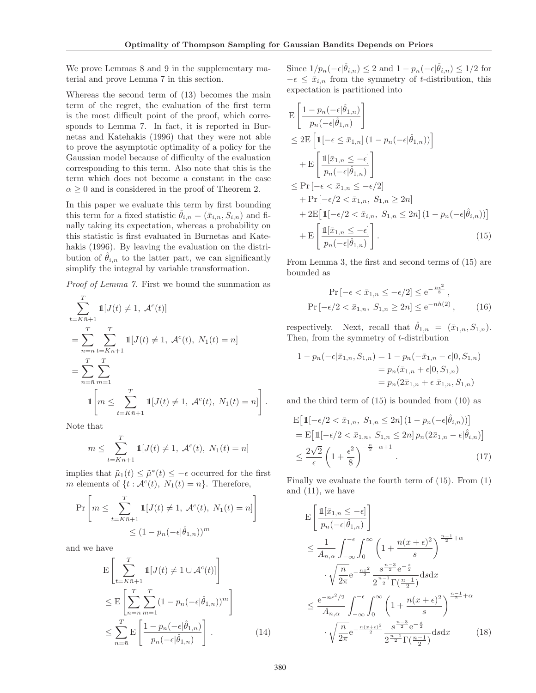We prove Lemmas 8 and 9 in the supplementary material and prove Lemma 7 in this section.

Whereas the second term of (13) becomes the main term of the regret, the evaluation of the first term is the most difficult point of the proof, which corresponds to Lemma 7. In fact, it is reported in Burnetas and Katehakis (1996) that they were not able to prove the asymptotic optimality of a policy for the Gaussian model because of difficulty of the evaluation corresponding to this term. Also note that this is the term which does not become a constant in the case  $\alpha \geq 0$  and is considered in the proof of Theorem 2.

In this paper we evaluate this term by first bounding this term for a fixed statistic  $\hat{\theta}_{i,n} = (\bar{x}_{i,n}, S_{i,n})$  and finally taking its expectation, whereas a probability on this statistic is first evaluated in Burnetas and Katehakis (1996). By leaving the evaluation on the distribution of  $\hat{\theta}_{i,n}$  to the latter part, we can significantly simplify the integral by variable transformation.

Proof of Lemma 7. First we bound the summation as

$$
\sum_{t=K\bar{n}+1}^{T} \mathbb{1}[J(t) \neq 1, \ \mathcal{A}^{c}(t)]
$$
\n
$$
= \sum_{n=\bar{n}}^{T} \sum_{t=K\bar{n}+1}^{T} \mathbb{1}[J(t) \neq 1, \ \mathcal{A}^{c}(t), \ N_{1}(t) = n]
$$
\n
$$
= \sum_{n=\bar{n}}^{T} \sum_{m=1}^{T} \mathbb{1}[J(t) \neq 1, \ \mathcal{A}^{c}(t), \ N_{1}(t) = n]
$$
\n
$$
\mathbb{1}\left[m \leq \sum_{t=K\bar{n}+1}^{T} \mathbb{1}[J(t) \neq 1, \ \mathcal{A}^{c}(t), \ N_{1}(t) = n]\right].
$$

Note that

$$
m \le \sum_{t=K\bar{n}+1}^{T} 1\!\!1[J(t) \ne 1, \mathcal{A}^c(t), N_1(t) = n]
$$

implies that  $\tilde{\mu}_1(t) \leq \tilde{\mu}^*(t) \leq -\epsilon$  occurred for the first m elements of  $\{t : \mathcal{A}^c(t), N_1(t) = n\}$ . Therefore,

$$
\Pr\left[m \leq \sum_{t=K\bar{n}+1}^{T} \mathbb{1}[J(t) \neq 1, \mathcal{A}^{c}(t), N_{1}(t) = n]\right]
$$
  

$$
\leq (1 - p_{n}(-\epsilon|\hat{\theta}_{1,n}))^{m}
$$

and we have

$$
\mathcal{E}\left[\sum_{t=K\bar{n}+1}^{T}\mathbb{1}[J(t) \neq 1 \cup \mathcal{A}^{c}(t)]\right]
$$
\n
$$
\leq \mathcal{E}\left[\sum_{n=\bar{n}}^{T}\sum_{m=1}^{T}(1-p_{n}(-\epsilon|\hat{\theta}_{1,n}))^{m}\right]
$$
\n
$$
\leq \sum_{n=\bar{n}}^{T}\mathcal{E}\left[\frac{1-p_{n}(-\epsilon|\hat{\theta}_{1,n})}{p_{n}(-\epsilon|\hat{\theta}_{1,n})}\right].
$$
\n(14)

Since  $1/p_n(-\epsilon|\hat{\theta}_{i,n}) \leq 2$  and  $1 - p_n(-\epsilon|\hat{\theta}_{i,n}) \leq 1/2$  for  $-\epsilon \leq \bar{x}_{i,n}$  from the symmetry of t-distribution, this expectation is partitioned into

$$
E\left[\frac{1 - p_n(-\epsilon|\hat{\theta}_{1,n})}{p_n(-\epsilon|\hat{\theta}_{1,n})}\right]
$$
  
\n
$$
\leq 2E\left[\mathbb{1}\left[-\epsilon \leq \bar{x}_{1,n}\right](1 - p_n(-\epsilon|\hat{\theta}_{1,n}))\right]
$$
  
\n
$$
+ E\left[\frac{\mathbb{1}[\bar{x}_{1,n} \leq -\epsilon]}{p_n(-\epsilon|\hat{\theta}_{1,n})}\right]
$$
  
\n
$$
\leq Pr\left[-\epsilon < \bar{x}_{1,n} \leq -\epsilon/2\right]
$$
  
\n
$$
+ Pr\left[-\epsilon/2 < \bar{x}_{1,n}, S_{1,n} \geq 2n\right]
$$
  
\n
$$
+ 2E\left[\mathbb{1}\left[-\epsilon/2 < \bar{x}_{i,n}, S_{1,n} \leq 2n\right](1 - p_n(-\epsilon|\hat{\theta}_{i,n}))\right]
$$
  
\n
$$
+ E\left[\frac{\mathbb{1}[\bar{x}_{1,n} \leq -\epsilon]}{p_n(-\epsilon|\hat{\theta}_{1,n})}\right].
$$
 (15)

From Lemma 3, the first and second terms of (15) are bounded as

$$
\Pr\left[-\epsilon < \bar{x}_{1,n} \le -\epsilon/2\right] \le e^{-\frac{n\epsilon^2}{8}},
$$
\n
$$
\Pr\left[-\epsilon/2 < \bar{x}_{1,n}, S_{1,n} \ge 2n\right] \le e^{-nh(2)},\tag{16}
$$

respectively. Next, recall that  $\hat{\theta}_{1,n} = (\bar{x}_{1,n}, S_{1,n}).$ Then, from the symmetry of t-distribution

$$
1 - p_n(-\epsilon | \bar{x}_{1,n}, S_{1,n}) = 1 - p_n(-\bar{x}_{1,n} - \epsilon | 0, S_{1,n})
$$
  
=  $p_n(\bar{x}_{1,n} + \epsilon | 0, S_{1,n})$   
=  $p_n(2\bar{x}_{1,n} + \epsilon | \bar{x}_{1,n}, S_{1,n})$ 

and the third term of (15) is bounded from (10) as

$$
E\left[\mathbb{1}\left[-\epsilon/2 < \bar{x}_{1,n}, S_{1,n} \le 2n\right] (1 - p_n(-\epsilon|\hat{\theta}_{i,n}))\right]
$$
\n
$$
= E\left[\mathbb{1}\left[-\epsilon/2 < \bar{x}_{1,n}, S_{1,n} \le 2n\right] p_n(2\bar{x}_{1,n} - \epsilon|\hat{\theta}_{i,n})\right]
$$
\n
$$
\le \frac{2\sqrt{2}}{\epsilon} \left(1 + \frac{\epsilon^2}{8}\right)^{-\frac{n}{2} - \alpha + 1} . \tag{17}
$$

Finally we evaluate the fourth term of (15). From (1) and  $(11)$ , we have

$$
E\left[\frac{\mathbb{1}[\bar{x}_{1,n} \leq -\epsilon]}{p_n(-\epsilon|\hat{\theta}_{1,n})}\right]
$$
  
\n
$$
\leq \frac{1}{A_{n,\alpha}} \int_{-\infty}^{-\epsilon} \int_0^{\infty} \left(1 + \frac{n(x+\epsilon)^2}{s}\right)^{\frac{n-1}{2} + \alpha}
$$
  
\n
$$
\cdot \sqrt{\frac{n}{2\pi}} e^{-\frac{n x^2}{2}} \frac{s^{\frac{n-3}{2}} e^{-\frac{s}{2}}}{2^{\frac{n-1}{2}} \Gamma(\frac{n-1}{2})} ds dx
$$
  
\n
$$
\leq \frac{e^{-n\epsilon^2/2}}{A_{n,\alpha}} \int_{-\infty}^{-\epsilon} \int_0^{\infty} \left(1 + \frac{n(x+\epsilon)^2}{s}\right)^{\frac{n-1}{2} + \alpha}
$$
  
\n
$$
\cdot \sqrt{\frac{n}{2\pi}} e^{-\frac{n(x+\epsilon)^2}{2}} \frac{s^{\frac{n-3}{2}} e^{-\frac{s}{2}}}{2^{\frac{n-1}{2}} \Gamma(\frac{n-1}{2})} ds dx
$$
 (18)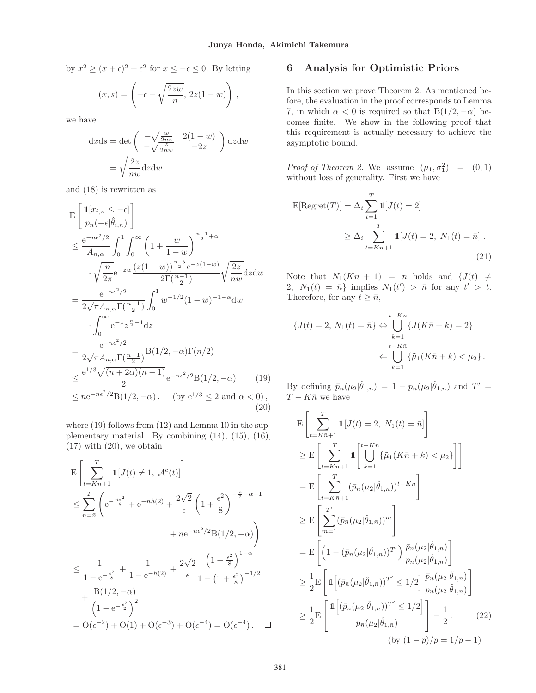by  $x^2 \ge (x + \epsilon)^2 + \epsilon^2$  for  $x \le -\epsilon \le 0$ . By letting

$$
(x,s) = \left(-\epsilon - \sqrt{\frac{2zw}{n}}, \, 2z(1-w)\right),\,
$$

we have

$$
dxds = det \begin{pmatrix} -\sqrt{\frac{w}{2nz}} & 2(1-w) \\ -\sqrt{\frac{z}{2nw}} & -2z \end{pmatrix} dzdw
$$

$$
= \sqrt{\frac{2z}{nw}} dzdw
$$

and (18) is rewritten as

$$
E\left[\frac{\mathbb{1}[\bar{x}_{i,n} \leq -\epsilon]}{p_n(-\epsilon|\hat{\theta}_{i,n})}\right]
$$
\n
$$
\leq \frac{e^{-n\epsilon^2/2}}{A_{n,\alpha}} \int_0^1 \int_0^\infty \left(1 + \frac{w}{1-w}\right)^{\frac{n-1}{2}+\alpha}
$$
\n
$$
\cdot \sqrt{\frac{n}{2\pi}} e^{-zw} \frac{(z(1-w))^{\frac{n-3}{2}}e^{-z(1-w)}}{2\Gamma(\frac{n-1}{2})} \sqrt{\frac{2z}{nw}} dz dw
$$
\n
$$
= \frac{e^{-n\epsilon^2/2}}{2\sqrt{\pi}A_{n,\alpha}\Gamma(\frac{n-1}{2})} \int_0^1 w^{-1/2}(1-w)^{-1-\alpha} dw
$$
\n
$$
\cdot \int_0^\infty e^{-z} z^{\frac{n}{2}-1} dz
$$
\n
$$
= \frac{e^{-n\epsilon^2/2}}{2\sqrt{\pi}A_{n,\alpha}\Gamma(\frac{n-1}{2})} B(1/2, -\alpha) \Gamma(n/2)
$$
\n
$$
\leq \frac{e^{1/3}\sqrt{(n+2\alpha)(n-1)}}{2} e^{-n\epsilon^2/2} B(1/2, -\alpha) \qquad (19)
$$
\n
$$
\leq n e^{-n\epsilon^2/2} B(1/2, -\alpha) \qquad (by \ e^{1/3} \leq 2 \text{ and } \alpha < 0), \qquad (20)
$$

where  $(19)$  follows from  $(12)$  and Lemma 10 in the supplementary material. By combining (14), (15), (16),  $(17)$  with  $(20)$ , we obtain

$$
E\left[\sum_{t=K\bar{n}+1}^{T} 1[J(t) \neq 1, \mathcal{A}^{c}(t)]\right]
$$
  
\n
$$
\leq \sum_{n=\bar{n}}^{T} \left(e^{-\frac{n\epsilon^{2}}{8}} + e^{-nh(2)} + \frac{2\sqrt{2}}{\epsilon} \left(1 + \frac{\epsilon^{2}}{8}\right)^{-\frac{n}{2}-\alpha+1} + n e^{-n\epsilon^{2}/2} B(1/2, -\alpha)\right)
$$
  
\n
$$
\leq \frac{1}{1 - e^{-\frac{\epsilon^{2}}{8}}} + \frac{1}{1 - e^{-h(2)}} + \frac{2\sqrt{2}}{\epsilon} \frac{\left(1 + \frac{\epsilon^{2}}{8}\right)^{1-\alpha}}{1 - \left(1 + \frac{\epsilon^{2}}{8}\right)^{-1/2}} + \frac{B(1/2, -\alpha)}{\left(1 - e^{-\frac{\epsilon^{2}}{2}}\right)^{2}} - O(\epsilon^{-2}) + O(1) + O(\epsilon^{-3}) + O(\epsilon^{-4}) = O(\epsilon^{-4}). \quad \Box
$$

## 6 Analysis for Optimistic Priors

In this section we prove Theorem 2. As mentioned before, the evaluation in the proof corresponds to Lemma 7, in which  $\alpha < 0$  is required so that  $B(1/2, -\alpha)$  becomes finite. We show in the following proof that this requirement is actually necessary to achieve the asymptotic bound.

*Proof of Theorem 2.* We assume  $(\mu_1, \sigma_1^2) = (0, 1)$ without loss of generality. First we have

$$
E[\text{Regret}(T)] = \Delta_i \sum_{t=1}^{T} 1\llbracket J(t) = 2 \rrbracket
$$

$$
\geq \Delta_i \sum_{t=K\bar{n}+1}^{T} 1\llbracket J(t) = 2, N_1(t) = \bar{n} \rrbracket.
$$
(21)

Note that  $N_1(K\bar{n} + 1) = \bar{n}$  holds and  $\{J(t) \neq$ 2,  $N_1(t) = \bar{n}$  implies  $N_1(t') > \bar{n}$  for any  $t' > t$ . Therefore, for any  $t \geq \bar{n}$ ,

$$
\{J(t) = 2, N_1(t) = \bar{n}\} \Leftrightarrow \bigcup_{k=1}^{t - K\bar{n}} \{J(K\bar{n} + k) = 2\}
$$

$$
\Leftarrow \bigcup_{k=1}^{t - K\bar{n}} \{\tilde{\mu}_1(K\bar{n} + k) < \mu_2\}.
$$

By defining  $\bar{p}_{\bar{n}}(\mu_2|\hat{\theta}_{1,\bar{n}}) = 1 - p_{\bar{n}}(\mu_2|\hat{\theta}_{1,\bar{n}})$  and  $T' =$  $T - K\bar{n}$  we have

$$
E\left[\sum_{t=K\bar{n}+1}^{T} \mathbb{1}[J(t) = 2, N_1(t) = \bar{n}]\right]
$$
  
\n
$$
\geq E\left[\sum_{t=K\bar{n}+1}^{T} \mathbb{1}\left[\bigcup_{k=1}^{t=K\bar{n}} \{\tilde{\mu}_1(K\bar{n}+k) < \mu_2\}\right]\right]
$$
  
\n
$$
= E\left[\sum_{t=K\bar{n}+1}^{T} (\bar{p}_{\bar{n}}(\mu_2|\hat{\theta}_{1,\bar{n}}))^{t=K\bar{n}}\right]
$$
  
\n
$$
\geq E\left[\sum_{m=1}^{T'} (\bar{p}_{\bar{n}}(\mu_2|\hat{\theta}_{1,\bar{n}}))^{m}\right]
$$
  
\n
$$
= E\left[\left(1 - (\bar{p}_{\bar{n}}(\mu_2|\hat{\theta}_{1,\bar{n}}))^{T'}\right) \frac{\bar{p}_{\bar{n}}(\mu_2|\hat{\theta}_{1,\bar{n}})}{p_{\bar{n}}(\mu_2|\hat{\theta}_{1,\bar{n}})}\right]
$$
  
\n
$$
\geq \frac{1}{2} E\left[\mathbb{1}\left[(\bar{p}_{\bar{n}}(\mu_2|\hat{\theta}_{1,\bar{n}}))^{T'} \leq 1/2\right] \frac{\bar{p}_{\bar{n}}(\mu_2|\hat{\theta}_{1,\bar{n}})}{p_{\bar{n}}(\mu_2|\hat{\theta}_{1,\bar{n}})}\right]
$$
  
\n
$$
\geq \frac{1}{2} E\left[\frac{\mathbb{1}\left[(\bar{p}_{\bar{n}}(\mu_2|\hat{\theta}_{1,\bar{n}}))^{T'} \leq 1/2\right]}{p_{\bar{n}}(\mu_2|\hat{\theta}_{1,\bar{n}})}\right] - \frac{1}{2}.
$$
 (22)  
\n
$$
\text{(by (1 - p)/p = 1/p - 1)}
$$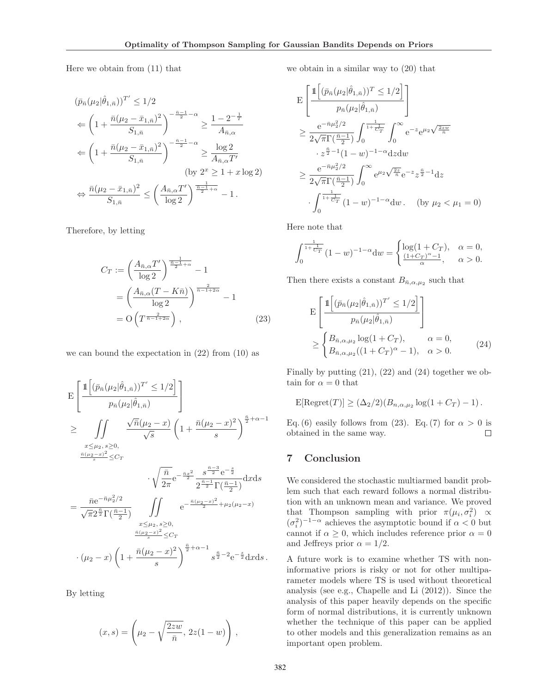Here we obtain from (11) that

$$
(\bar{p}_{\bar{n}}(\mu_2|\hat{\theta}_{1,\bar{n}}))^{T'} \le 1/2
$$
  
\n
$$
\Leftarrow \left(1 + \frac{\bar{n}(\mu_2 - \bar{x}_{1,\bar{n}})^2}{S_{1,\bar{n}}}\right)^{-\frac{\bar{n}-1}{2} - \alpha} \ge \frac{1 - 2^{-\frac{1}{T}}}{A_{\bar{n},\alpha}}
$$
  
\n
$$
\Leftarrow \left(1 + \frac{\bar{n}(\mu_2 - \bar{x}_{1,\bar{n}})^2}{S_{1,\bar{n}}}\right)^{-\frac{\bar{n}-1}{2} - \alpha} \ge \frac{\log 2}{A_{\bar{n},\alpha}T'}
$$
  
\n
$$
\Leftrightarrow \frac{\bar{n}(\mu_2 - \bar{x}_{1,\bar{n}})^2}{S_{1,\bar{n}}} \le \left(\frac{A_{\bar{n},\alpha}T'}{\log 2}\right)^{\frac{1}{\bar{n}-\frac{1}{2}+\alpha}} - 1.
$$

Therefore, by letting

$$
C_T := \left(\frac{A_{\bar{n},\alpha}T'}{\log 2}\right)^{\frac{1}{\frac{n-1}{2}+\alpha}} - 1
$$

$$
= \left(\frac{A_{\bar{n},\alpha}(T - K\bar{n})}{\log 2}\right)^{\frac{2}{\bar{n}-1+2\alpha}} - 1
$$

$$
= O\left(T^{\frac{2}{\bar{n}-1+2\alpha}}\right), \tag{23}
$$

we can bound the expectation in  $(22)$  from  $(10)$  as

$$
E\left[\frac{\mathbb{1}\left[(\bar{p}_{\bar{n}}(\mu_2|\hat{\theta}_{1,\bar{n}}))^T\leq 1/2\right]}{p_{\bar{n}}(\mu_2|\hat{\theta}_{1,\bar{n}})}\right]
$$
\n
$$
\geq \iint_{\substack{x \leq \mu_2, s \geq 0, \\ \frac{\bar{n}(\mu_2 - x)^2}{s} \leq C_T}} \frac{\sqrt{\bar{n}}(\mu_2 - x)}{\sqrt{s}} \left(1 + \frac{\bar{n}(\mu_2 - x)^2}{s}\right)^{\frac{\bar{n}}{2} + \alpha - 1}
$$
\n
$$
\cdot \sqrt{\frac{\bar{n}}{2\pi}} e^{-\frac{\bar{n}x^2}{2}} \frac{s^{\frac{\bar{n} - 3}{2}} e^{-\frac{s}{2}}}{2^{\frac{\bar{n} - 1}{2}} \Gamma(\frac{\bar{n} - 1}{2})} dx ds
$$
\n
$$
= \frac{\bar{n}e^{-\bar{n}\mu_2^2/2}}{\sqrt{\pi}2^{\frac{\bar{n}}{2}} \Gamma(\frac{\bar{n} - 1}{2})} \iint_{\substack{x \leq \mu_2, s \geq 0, \\ \frac{\bar{n}(\mu_2 - x)^2}{s} \leq C_T}} e^{-\frac{\bar{n}(\mu_2 - x)^2}{2} + \mu_2(\mu_2 - x)}
$$
\n
$$
\cdot (\mu_2 - x) \left(1 + \frac{\bar{n}(\mu_2 - x)^2}{s}\right)^{\frac{\bar{n}}{2} + \alpha - 1} s^{\frac{\bar{n}}{2} - 2} e^{-\frac{s}{2}} dx ds.
$$

By letting

$$
(x, s) = \left(\mu_2 - \sqrt{\frac{2zw}{\bar{n}}}, 2z(1-w)\right),
$$

we obtain in a similar way to (20) that

$$
\begin{split} & \mathcal{E} \left[ \frac{\mathbb{1} \left[ (\bar{p}_{\bar{n}} (\mu_2 | \hat{\theta}_{1,\bar{n}}))^T \leq 1/2 \right]}{p_{\bar{n}} (\mu_2 | \hat{\theta}_{1,\bar{n}})} \right] \\ &\geq \frac{\mathrm{e}^{-\bar{n}\mu_2^2/2}}{2\sqrt{\pi} \Gamma(\frac{\bar{n}-1}{2})} \int_0^{\frac{1}{1+\frac{1}{C_T}}} \int_0^\infty \mathrm{e}^{-z} \mathrm{e}^{\mu_2 \sqrt{\frac{2zw}{\bar{n}}}} \\ &\quad \cdot z^{\frac{\bar{n}}{2}-1} (1-w)^{-1-\alpha} \mathrm{d}z \mathrm{d}w \\ &\geq \frac{\mathrm{e}^{-\bar{n}\mu_2^2/2}}{2\sqrt{\pi} \Gamma(\frac{\bar{n}-1}{2})} \int_0^\infty \mathrm{e}^{\mu_2 \sqrt{\frac{2z}{\bar{n}}}} \mathrm{e}^{-z} z^{\frac{\bar{n}}{2}-1} \mathrm{d}z \\ &\quad \cdot \int_0^{\frac{1}{1+\frac{1}{C_T}}} (1-w)^{-1-\alpha} \mathrm{d}w \, . \quad \text{(by } \mu_2 < \mu_1 = 0) \end{split}
$$

Here note that

$$
\int_0^{\frac{1}{1+\frac{1}{C_T}}} (1-w)^{-1-\alpha} dw = \begin{cases} \log(1+C_T), & \alpha = 0, \\ \frac{(1+C_T)^{\alpha}-1}{\alpha}, & \alpha > 0. \end{cases}
$$

Then there exists a constant  $B_{\bar{n},\alpha,\mu_2}$  such that

$$
\mathcal{E}\left[\frac{\mathbb{1}\left[(\bar{p}_{\bar{n}}(\mu_2|\hat{\theta}_{1,\bar{n}}))^T' \le 1/2\right]}{p_{\bar{n}}(\mu_2|\hat{\theta}_{1,\bar{n}})}\right] \ge \begin{cases} B_{\bar{n},\alpha,\mu_2} \log(1+C_T), & \alpha = 0, \\ B_{\bar{n},\alpha,\mu_2}((1+C_T)^\alpha - 1), & \alpha > 0. \end{cases}
$$
(24)

Finally by putting  $(21)$ ,  $(22)$  and  $(24)$  together we obtain for  $\alpha = 0$  that

$$
\mathrm{E}[\mathrm{Regret}(T)] \ge (\Delta_2/2)(B_{n,\alpha,\mu_2}\log(1+C_T)-1).
$$

Eq. (6) easily follows from (23). Eq. (7) for  $\alpha > 0$  is obtained in the same way.  $\Box$ 

## 7 Conclusion

We considered the stochastic multiarmed bandit problem such that each reward follows a normal distribution with an unknown mean and variance. We proved that Thompson sampling with prior  $\pi(\mu_i, \sigma_i^2) \propto$  $(\sigma_i^2)^{-1-\alpha}$  achieves the asymptotic bound if  $\alpha < 0$  but cannot if  $\alpha \geq 0$ , which includes reference prior  $\alpha = 0$ and Jeffreys prior  $\alpha = 1/2$ .

A future work is to examine whether TS with noninformative priors is risky or not for other multiparameter models where TS is used without theoretical analysis (see e.g., Chapelle and Li (2012)). Since the analysis of this paper heavily depends on the specific form of normal distributions, it is currently unknown whether the technique of this paper can be applied to other models and this generalization remains as an important open problem.